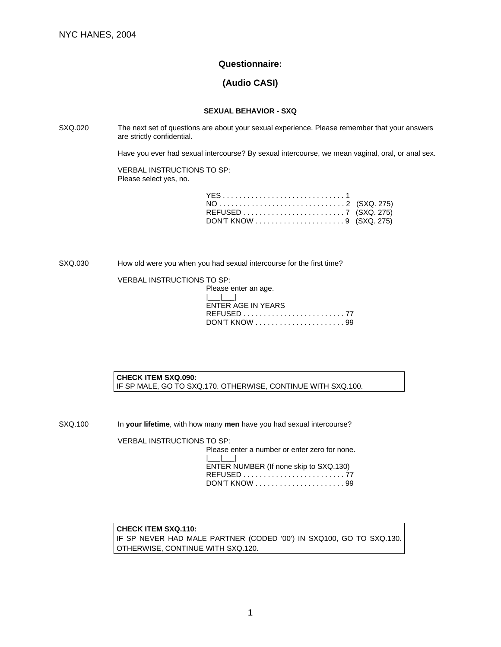# **Questionnaire:**

# **(Audio CASI)**

## **SEXUAL BEHAVIOR - SXQ**

SXQ.020 The next set of questions are about your sexual experience. Please remember that your answers are strictly confidential.

Have you ever had sexual intercourse? By sexual intercourse, we mean vaginal, oral, or anal sex.

VERBAL INSTRUCTIONS TO SP: Please select yes, no.

SXQ.030 How old were you when you had sexual intercourse for the first time?

VERBAL INSTRUCTIONS TO SP:

| Please enter an age. |
|----------------------|
|                      |
| ENTER AGE IN YEARS   |
|                      |
|                      |

**CHECK ITEM SXQ.090:** IF SP MALE, GO TO SXQ.170. OTHERWISE, CONTINUE WITH SXQ.100.

SXQ.100 In your lifetime, with how many men have you had sexual intercourse?

VERBAL INSTRUCTIONS TO SP:

Please enter a number or enter zero for none.  $\Box$ ENTER NUMBER (If none skip to SXQ.130) REFUSED . . . . . . . . . . . . . . . . . . . . . . . . . 77 DON'T KNOW . . . . . . . . . . . . . . . . . . . . . . 99

## **CHECK ITEM SXQ.110:**

IF SP NEVER HAD MALE PARTNER (CODED '00') IN SXQ100, GO TO SXQ.130. OTHERWISE, CONTINUE WITH SXQ.120.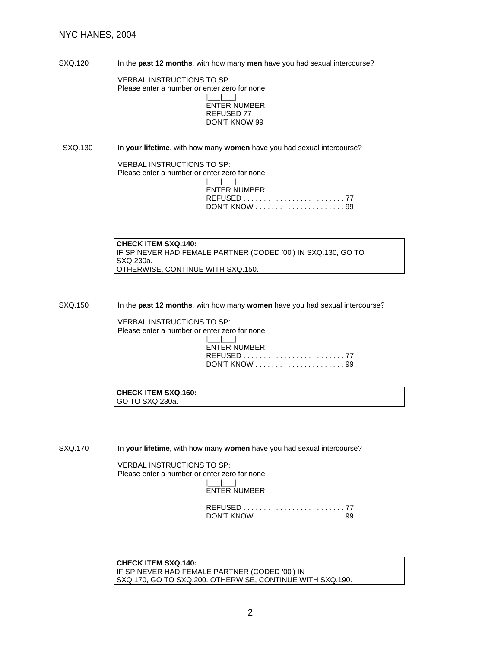SXQ.120 In the **past 12 months**, with how many **men** have you had sexual intercourse?

VERBAL INSTRUCTIONS TO SP: Please enter a number or enter zero for none. |\_\_\_|\_\_\_|

ENTER NUMBER REFUSED 77 DON'T KNOW 99

SXQ.130 In your lifetime, with how many women have you had sexual intercourse?

VERBAL INSTRUCTIONS TO SP: Please enter a number or enter zero for none. |\_\_\_|\_\_\_| ENTER NUMBER REFUSED . . . . . . . . . . . . . . . . . . . . . . . . . 77 DON'T KNOW . . . . . . . . . . . . . . . . . . . . . . 99

**CHECK ITEM SXQ.140:**  IF SP NEVER HAD FEMALE PARTNER (CODED '00') IN SXQ.130, GO TO SXQ.230a. OTHERWISE, CONTINUE WITH SXQ.150.

SXQ.150 In the **past 12 months**, with how many **women** have you had sexual intercourse?

VERBAL INSTRUCTIONS TO SP: Please enter a number or enter zero for none.

| والمسالسيات         |
|---------------------|
| <b>ENTER NUMBER</b> |
|                     |
|                     |

**CHECK ITEM SXQ.160:** GO TO SXQ.230a.

SXQ.170 In **your lifetime**, with how many **women** have you had sexual intercourse?

VERBAL INSTRUCTIONS TO SP: Please enter a number or enter zero for none.  $\Box$ ENTER NUMBER

> REFUSED . . . . . . . . . . . . . . . . . . . . . . . . . 77 DON'T KNOW . . . . . . . . . . . . . . . . . . . . . . 99

**CHECK ITEM SXQ.140:**  IF SP NEVER HAD FEMALE PARTNER (CODED '00') IN SXQ.170, GO TO SXQ.200. OTHERWISE, CONTINUE WITH SXQ.190.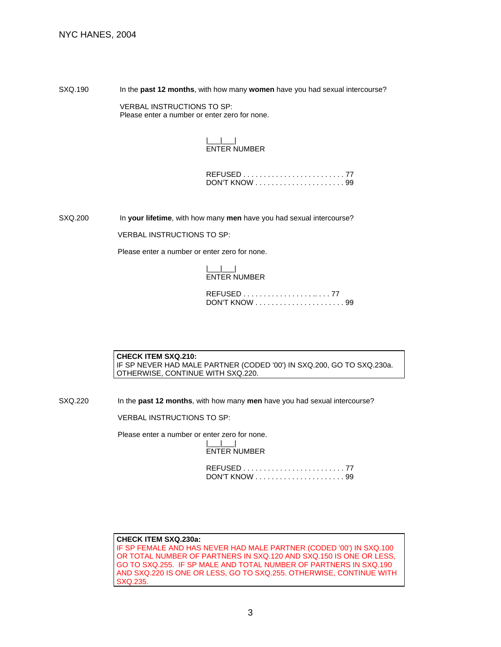SXQ.190 In the **past 12 months**, with how many women have you had sexual intercourse?

 VERBAL INSTRUCTIONS TO SP: Please enter a number or enter zero for none.

## |\_\_\_|\_\_\_| ENTER NUMBER

SXQ.200 In **your lifetime**, with how many **men** have you had sexual intercourse?

VERBAL INSTRUCTIONS TO SP:

Please enter a number or enter zero for none.

#### |\_\_\_|\_\_\_| ENTER NUMBER

**CHECK ITEM SXQ.210:**  IF SP NEVER HAD MALE PARTNER (CODED '00') IN SXQ.200, GO TO SXQ.230a. OTHERWISE, CONTINUE WITH SXQ.220.

SXQ.220 In the **past 12 months**, with how many **men** have you had sexual intercourse?

VERBAL INSTRUCTIONS TO SP:

Please enter a number or enter zero for none.

|\_\_\_|\_\_\_| ENTER NUMBER

#### **CHECK ITEM SXQ.230a:**  IF SP FEMALE AND HAS NEVER HAD MALE PARTNER (CODED '00') IN SXQ.100 OR TOTAL NUMBER OF PARTNERS IN SXQ.120 AND SXQ.150 IS ONE OR LESS, GO TO SXQ.255. IF SP MALE AND TOTAL NUMBER OF PARTNERS IN SXQ.190 AND SXQ.220 IS ONE OR LESS, GO TO SXQ.255. OTHERWISE, CONTINUE WITH SXQ.235.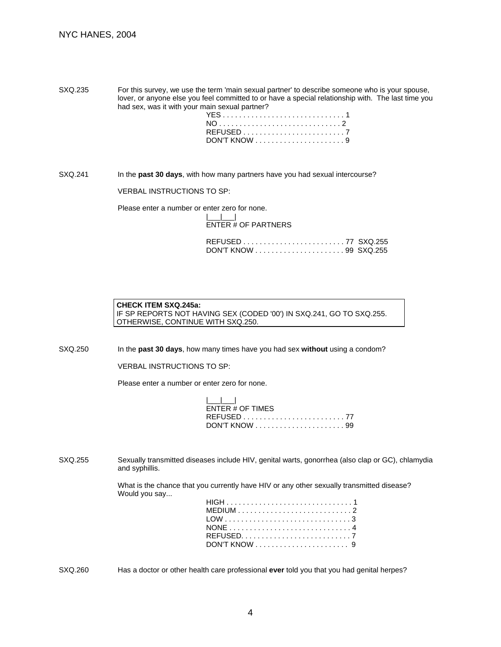SXQ.235 For this survey, we use the term 'main sexual partner' to describe someone who is your spouse, lover, or anyone else you feel committed to or have a special relationship with. The last time you had sex, was it with your main sexual partner?

| YES1 |  |
|------|--|
|      |  |
|      |  |
|      |  |

SXQ.241 In the **past 30 days**, with how many partners have you had sexual intercourse?

VERBAL INSTRUCTIONS TO SP:

Please enter a number or enter zero for none.

|\_\_\_|\_\_\_| ENTER # OF PARTNERS

| <b>CHECK ITEM SXQ.245a:</b>                                          |
|----------------------------------------------------------------------|
| IF SP REPORTS NOT HAVING SEX (CODED '00') IN SXQ.241, GO TO SXQ.255. |
| OTHERWISE, CONTINUE WITH SXQ.250.                                    |

SXQ.250 In the **past 30 days**, how many times have you had sex **without** using a condom?

VERBAL INSTRUCTIONS TO SP:

Please enter a number or enter zero for none.

| المسالسيا        |  |
|------------------|--|
| ENTER # OF TIMES |  |
|                  |  |
|                  |  |

SXQ.255 Sexually transmitted diseases include HIV, genital warts, gonorrhea (also clap or GC), chlamydia and syphillis.

> What is the chance that you currently have HIV or any other sexually transmitted disease? Would you say...

SXQ.260 Has a doctor or other health care professional **ever** told you that you had genital herpes?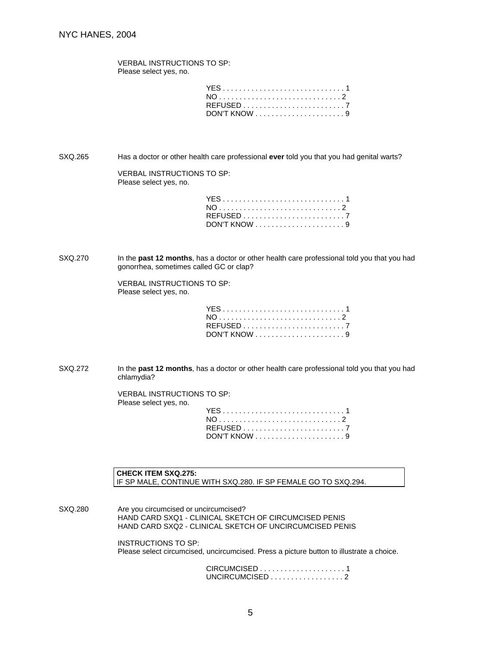VERBAL INSTRUCTIONS TO SP: Please select yes, no.

SXQ.265 Has a doctor or other health care professional **ever** told you that you had genital warts?

VERBAL INSTRUCTIONS TO SP: Please select yes, no.

| YES1 |  |  |  |  |  |  |  |  |  |
|------|--|--|--|--|--|--|--|--|--|
|      |  |  |  |  |  |  |  |  |  |
|      |  |  |  |  |  |  |  |  |  |
|      |  |  |  |  |  |  |  |  |  |

SXQ.270 In the **past 12 months**, has a doctor or other health care professional told you that you had gonorrhea, sometimes called GC or clap?

> VERBAL INSTRUCTIONS TO SP: Please select yes, no.

| YES1     |  |  |  |  |  |  |  |  |  |  |
|----------|--|--|--|--|--|--|--|--|--|--|
|          |  |  |  |  |  |  |  |  |  |  |
| REFUSED7 |  |  |  |  |  |  |  |  |  |  |
|          |  |  |  |  |  |  |  |  |  |  |

SXQ.272 In the **past 12 months**, has a doctor or other health care professional told you that you had chlamydia?

> VERBAL INSTRUCTIONS TO SP: Please select yes, no.

**CHECK ITEM SXQ.275:**  IF SP MALE, CONTINUE WITH SXQ.280. IF SP FEMALE GO TO SXQ.294.

SXQ.280 Are you circumcised or uncircumcised? HAND CARD SXQ1 - CLINICAL SKETCH OF CIRCUMCISED PENIS HAND CARD SXQ2 - CLINICAL SKETCH OF UNCIRCUMCISED PENIS

> INSTRUCTIONS TO SP: Please select circumcised, uncircumcised. Press a picture button to illustrate a choice.

> > CIRCUMCISED . . . . . . . . . . . . . . . . . . . . . 1 UNCIRCUMCISED . . . . . . . . . . . . . . . . . . 2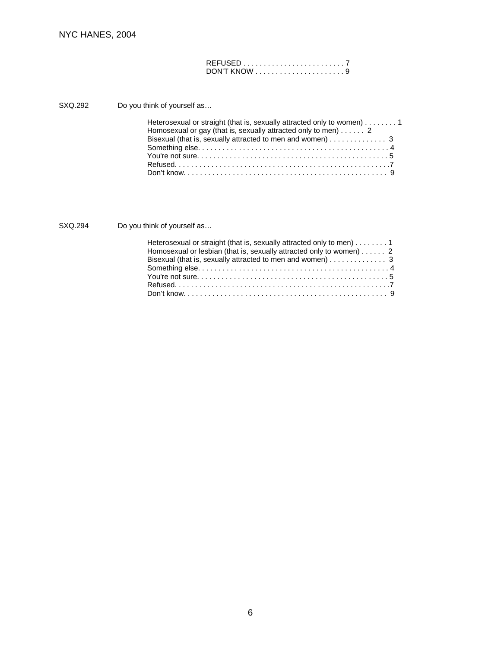SXQ.292 Do you think of yourself as…

| Heterosexual or straight (that is, sexually attracted only to women) 1  |
|-------------------------------------------------------------------------|
| Homosexual or gay (that is, sexually attracted only to men) $\dots$ . 2 |
| Bisexual (that is, sexually attracted to men and women) 3               |
|                                                                         |
|                                                                         |
|                                                                         |
|                                                                         |

SXQ.294 Do you think of yourself as...

| Heterosexual or straight (that is, sexually attracted only to men) $\dots \dots$ |
|----------------------------------------------------------------------------------|
| Homosexual or lesbian (that is, sexually attracted only to women) $\dots$ 2      |
| Bisexual (that is, sexually attracted to men and women) $\dots \dots \dots$      |
|                                                                                  |
|                                                                                  |
|                                                                                  |
|                                                                                  |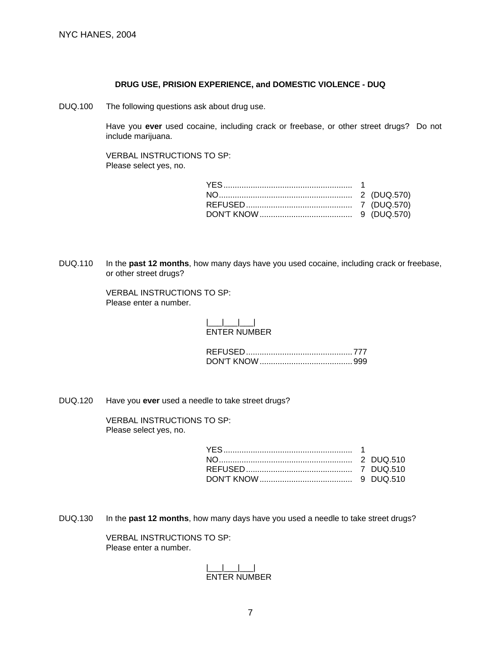#### **DRUG USE, PRISION EXPERIENCE, and DOMESTIC VIOLENCE - DUQ**

DUQ.100 The following questions ask about drug use.

 Have you **ever** used cocaine, including crack or freebase, or other street drugs? Do not include marijuana.

 VERBAL INSTRUCTIONS TO SP: Please select yes, no.

DUQ.110 In the **past 12 months**, how many days have you used cocaine, including crack or freebase, or other street drugs?

> VERBAL INSTRUCTIONS TO SP: Please enter a number.

## |\_\_\_|\_\_\_|\_\_\_| ENTER NUMBER

DUQ.120 Have you **ever** used a needle to take street drugs?

 VERBAL INSTRUCTIONS TO SP: Please select yes, no.

DUQ.130 In the **past 12 months**, how many days have you used a needle to take street drugs?

 VERBAL INSTRUCTIONS TO SP: Please enter a number.

> |\_\_\_|\_\_\_|\_\_\_| ENTER NUMBER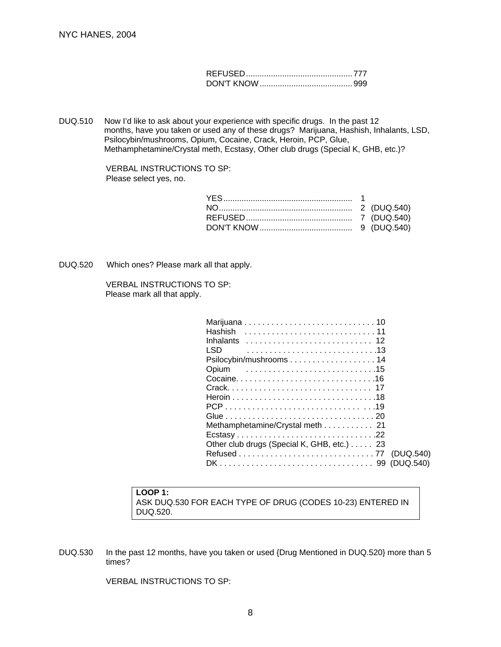DUQ.510 Now I'd like to ask about your experience with specific drugs. In the past 12 months, have you taken or used any of these drugs? Marijuana, Hashish, Inhalants, LSD, Psilocybin/mushrooms, Opium, Cocaine, Crack, Heroin, PCP, Glue, Methamphetamine/Crystal meth, Ecstasy, Other club drugs (Special K, GHB, etc.)?

> VERBAL INSTRUCTIONS TO SP: Please select yes, no.

DUQ.520 Which ones? Please mark all that apply.

 VERBAL INSTRUCTIONS TO SP: Please mark all that apply.

| Hashish                                    |           |
|--------------------------------------------|-----------|
| <b>Inhalants</b>                           |           |
| LSD.                                       |           |
|                                            |           |
| Opium                                      |           |
|                                            |           |
|                                            |           |
|                                            |           |
|                                            |           |
|                                            |           |
| Methamphetamine/Crystal meth 21            |           |
|                                            |           |
| Other club drugs (Special K, GHB, etc.) 23 |           |
|                                            | (DUQ.540) |
|                                            |           |

# **LOOP 1:** ASK DUQ.530 FOR EACH TYPE OF DRUG (CODES 10-23) ENTERED IN DUQ.520.

DUQ.530 In the past 12 months, have you taken or used {Drug Mentioned in DUQ.520} more than 5 times?

VERBAL INSTRUCTIONS TO SP: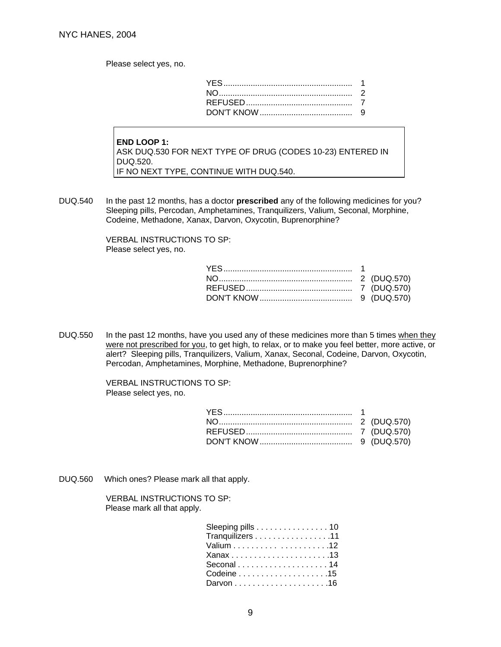Please select yes, no.

**END LOOP 1:** ASK DUQ.530 FOR NEXT TYPE OF DRUG (CODES 10-23) ENTERED IN DUQ.520. IF NO NEXT TYPE, CONTINUE WITH DUQ.540.

DUQ.540 In the past 12 months, has a doctor **prescribed** any of the following medicines for you? Sleeping pills, Percodan, Amphetamines, Tranquilizers, Valium, Seconal, Morphine, Codeine, Methadone, Xanax, Darvon, Oxycotin, Buprenorphine?

> VERBAL INSTRUCTIONS TO SP: Please select yes, no.

DUQ.550 In the past 12 months, have you used any of these medicines more than 5 times when they were not prescribed for you, to get high, to relax, or to make you feel better, more active, or alert? Sleeping pills, Tranquilizers, Valium, Xanax, Seconal, Codeine, Darvon, Oxycotin, Percodan, Amphetamines, Morphine, Methadone, Buprenorphine?

> VERBAL INSTRUCTIONS TO SP: Please select yes, no.

DUQ.560 Which ones? Please mark all that apply.

 VERBAL INSTRUCTIONS TO SP: Please mark all that apply.

| Sleeping pills 10 |  |
|-------------------|--|
| Tranquilizers 11  |  |
|                   |  |
|                   |  |
|                   |  |
|                   |  |
|                   |  |